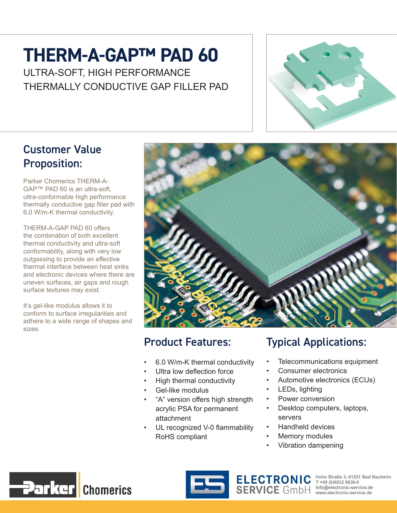# **THERM-A-GAP™ PAD 60**

ULTRA-SOFT, HIGH PERFORMANCE THERMALLY CONDUCTIVE GAP FILLER PAD



#### Customer Value Proposition:

Parker Chomerics THERM-A-GAP™ PAD 60 is an ultra-soft, ultra-conformable high performance thermally conductive gap filler pad with 6.0 W/m-K thermal conductivity.

THERM-A-GAP PAD 60 offers the combination of both excellent thermal conductivity and ultra-soft conformability, along with very low outgassing to provide an effective thermal interface between heat sinks and electronic devices where there are uneven surfaces, air gaps and rough surface textures may exist.

It's gel-like modulus allows it to conform to surface irregularities and adhere to a wide range of shapes and sizes.



#### Product Features:

- 6.0 W/m-K thermal conductivity
- Ultra low deflection force
- High thermal conductivity
- Gel-like modulus
- "A" version offers high strength acrylic PSA for permanent attachment
- UL recognized V-0 flammability RoHS compliant

### Typical Applications:

- Telecommunications equipment
- Consumer electronics
- Automotive electronics (ECUs)
- LEDs, lighting
- Power conversion
- Desktop computers, laptops, servers
- Handheld devices
- Memory modules
- Vibration dampening





ELECTRONIC Hohe Straße 3, 61231 Bad Nauheim<br>SERVICE GMDH info@electronic-service.de